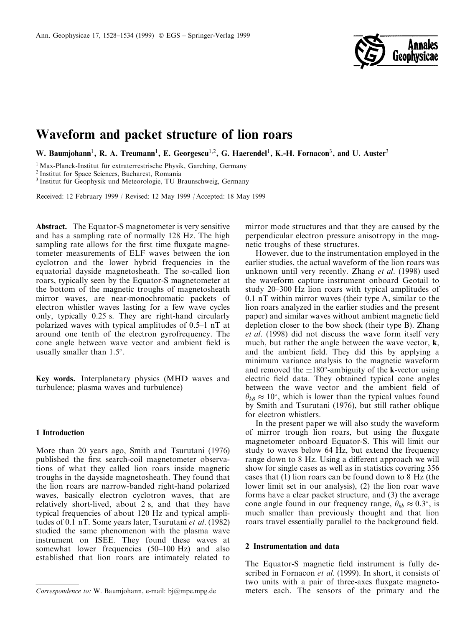

# Waveform and packet structure of lion roars

W. Baumjohann<sup>1</sup>, R. A. Treumann<sup>1</sup>, E. Georgescu<sup>1,2</sup>, G. Haerendel<sup>1</sup>, K.-H. Fornacon<sup>3</sup>, and U. Auster<sup>3</sup>

 $1$  Max-Planck-Institut für extraterrestrische Physik, Garching, Germany  $2$  Institut for Space Sciences, Bucharest, Romania

<sup>3</sup> Institut für Geophysik und Meteorologie, TU Braunschweig, Germany

Received: 12 February 1999 / Revised: 12 May 1999 / Accepted: 18 May 1999

Abstract. The Equator-S magnetometer is very sensitive and has a sampling rate of normally 128 Hz. The high sampling rate allows for the first time fluxgate magnetometer measurements of ELF waves between the ion cyclotron and the lower hybrid frequencies in the equatorial dayside magnetosheath. The so-called lion roars, typically seen by the Equator-S magnetometer at the bottom of the magnetic troughs of magnetosheath mirror waves, are near-monochromatic packets of electron whistler waves lasting for a few wave cycles only, typically 0.25 s. They are right-hand circularly polarized waves with typical amplitudes of  $0.5-1$  nT at around one tenth of the electron gyrofrequency. The cone angle between wave vector and ambient field is usually smaller than  $1.5^\circ$ .

Key words. Interplanetary physics (MHD waves and turbulence; plasma waves and turbulence)

## 1 Introduction

More than 20 years ago, Smith and Tsurutani (1976) published the first search-coil magnetometer observations of what they called lion roars inside magnetic troughs in the dayside magnetosheath. They found that the lion roars are narrow-banded right-hand polarized waves, basically electron cyclotron waves, that are relatively short-lived, about 2 s, and that they have typical frequencies of about 120 Hz and typical amplitudes of 0.1 nT. Some years later, Tsurutani et al. (1982) studied the same phenomenon with the plasma wave instrument on ISEE. They found these waves at somewhat lower frequencies  $(50-100 \text{ Hz})$  and also established that lion roars are intimately related to

mirror mode structures and that they are caused by the perpendicular electron pressure anisotropy in the magnetic troughs of these structures.

However, due to the instrumentation employed in the earlier studies, the actual waveform of the lion roars was unknown until very recently. Zhang et al. (1998) used the waveform capture instrument onboard Geotail to study 20–300 Hz lion roars with typical amplitudes of 0.1 nT within mirror waves (their type A, similar to the lion roars analyzed in the earlier studies and the present paper) and similar waves without ambient magnetic field depletion closer to the bow shock (their type B). Zhang et al. (1998) did not discuss the wave form itself very much, but rather the angle between the wave vector,  $\mathbf{k}$ , and the ambient field. They did this by applying a minimum variance analysis to the magnetic waveform and removed the  $\pm 180^\circ$ -ambiguity of the k-vector using electric field data. They obtained typical cone angles between the wave vector and the ambient field of  $\theta_{kB} \approx 10^{\circ}$ , which is lower than the typical values found by Smith and Tsurutani (1976), but still rather oblique for electron whistlers.

In the present paper we will also study the waveform of mirror trough lion roars, but using the fluxgate magnetometer onboard Equator-S. This will limit our study to waves below 64 Hz, but extend the frequency range down to 8 Hz. Using a different approach we will show for single cases as well as in statistics covering 356 cases that (1) lion roars can be found down to 8 Hz (the lower limit set in our analysis), (2) the lion roar wave forms have a clear packet structure, and (3) the average cone angle found in our frequency range,  $\theta_{kb} \approx 0.3^{\circ}$ , is much smaller than previously thought and that lion roars travel essentially parallel to the background field.

## 2 Instrumentation and data

The Equator-S magnetic field instrument is fully described in Fornacon et al. (1999). In short, it consists of two units with a pair of three-axes fluxgate magneto-Correspondence to: W. Baumjohann, e-mail: bj@mpe.mpg.de meters each. The sensors of the primary and the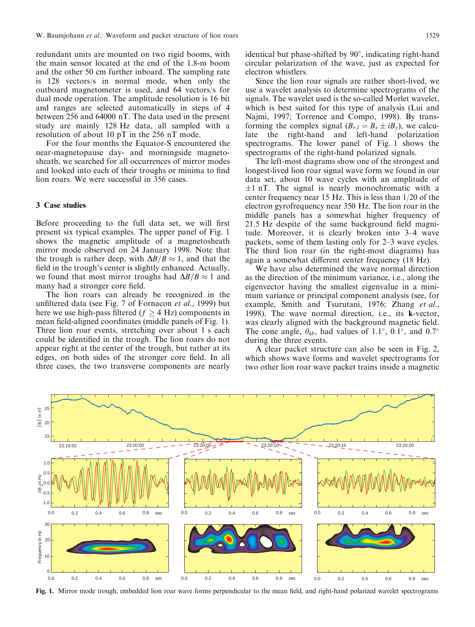redundant units are mounted on two rigid booms, with the main sensor located at the end of the 1.8-m boom and the other 50 cm further inboard. The sampling rate is 128 vectors/s in normal mode, when only the outboard magnetometer is used, and 64 vectors/s for dual mode operation. The amplitude resolution is 16 bit and ranges are selected automatically in steps of 4 between 256 and 64000 nT. The data used in the present study are mainly 128 Hz data, all sampled with a resolution of about 10 pT in the 256 nT mode.

For the four months the Equator-S encountered the near-magnetopause day- and morningside magnetosheath, we searched for all occurrences of mirror modes and looked into each of their troughs or minima to find lion roars. We were successful in 356 cases.

# 3 Case studies

Before proceeding to the full data set, we will first present six typical examples. The upper panel of Fig. 1 shows the magnetic amplitude of a magnetosheath mirror mode observed on 24 January 1998. Note that the trough is rather deep, with  $\Delta B/B \approx 1$ , and that the field in the trough's center is slightly enhanced. Actually, we found that most mirror troughs had  $\Delta B/B \approx 1$  and many had a stronger core field.

The lion roars can already be recognized in the unfiltered data (see Fig. 7 of Fornacon et al., 1999) but here we use high-pass filtered ( $f \geq 4$  Hz) components in mean field-aligned coordinates (middle panels of Fig. 1). Three lion roar events, stretching over about 1 s each could be identified in the trough. The lion roars do not appear right at the center of the trough, but rather at its edges, on both sides of the stronger core field. In all three cases, the two transverse components are nearly identical but phase-shifted by  $90^\circ$ , indicating right-hand circular polarization of the wave, just as expected for electron whistlers.

Since the lion roar signals are rather short-lived, we use a wavelet analysis to determine spectrograms of the signals. The wavelet used is the so-called Morlet wavelet, which is best suited for this type of analysis (Lui and Najmi, 1997; Torrence and Compo, 1998). By transforming the complex signal  $(B_{r,l} = B_x \pm iB_y)$ , we calculate the right-hand and left-hand polarization spectrograms. The lower panel of Fig. 1 shows the spectrograms of the right-hand polarized signals.

The left-most diagrams show one of the strongest and longest-lived lion roar signal wave form we found in our data set, about 10 wave cycles with an amplitude of  $\pm 1$  nT. The signal is nearly monochromatic with a center frequency near 15 Hz. This is less than 1/20 of the electron gyrofrequency near 350 Hz. The lion roar in the middle panels has a somewhat higher frequency of 21.5 Hz despite of the same background field magnitude. Moreover, it is clearly broken into  $3-4$  wave packets, some of them lasting only for 2–3 wave cycles. The third lion roar (in the right-most diagrams) has again a somewhat different center frequency (18 Hz).

We have also determined the wave normal direction as the direction of the minimum variance, i.e., along the eigenvector having the smallest eigenvalue in a minimum variance or principal component analysis (see, for example, Smith and Tsurutani, 1976; Zhang et al., 1998). The wave normal direction, i.e., its k-vector, was clearly aligned with the background magnetic field. The cone angle,  $\theta_{kb}$ , had values of 1.1°, 0.1°, and 0.7° during the three events.

A clear packet structure can also be seen in Fig. 2, which shows wave forms and wavelet spectrograms for two other lion roar wave packet trains inside a magnetic



Fig. 1. Mirror mode trough, embedded lion roar wave forms perpendicular to the mean field, and right-hand polarized wavelet spectrograms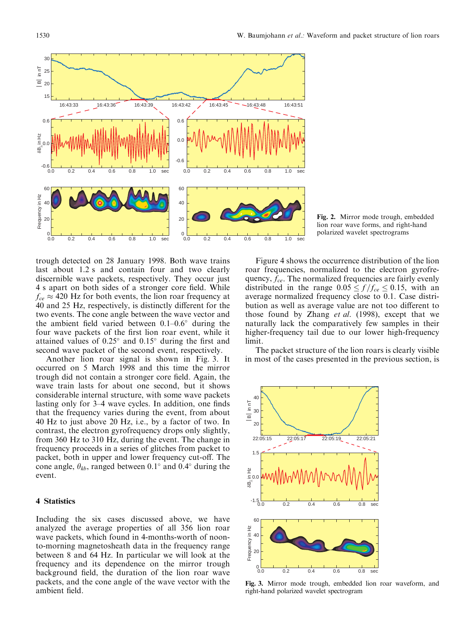

Fig. 2. Mirror mode trough, embedded lion roar wave forms, and right-hand polarized wavelet spectrograms

trough detected on 28 January 1998. Both wave trains last about 1.2 s and contain four and two clearly discernible wave packets, respectively. They occur just 4 s apart on both sides of a stronger core field. While  $f_{ce} \approx 420$  Hz for both events, the lion roar frequency at 40 and 25 Hz, respectively, is distinctly different for the two events. The cone angle between the wave vector and the ambient field varied between  $0.1-0.6^{\circ}$  during the four wave packets of the first lion roar event, while it attained values of  $0.25^{\circ}$  and  $0.15^{\circ}$  during the first and second wave packet of the second event, respectively.

Another lion roar signal is shown in Fig. 3. It occurred on 5 March 1998 and this time the mirror trough did not contain a stronger core field. Again, the wave train lasts for about one second, but it shows considerable internal structure, with some wave packets lasting only for 3–4 wave cycles. In addition, one finds that the frequency varies during the event, from about 40 Hz to just above 20 Hz, i.e., by a factor of two. In contrast, the electron gyrofrequency drops only slightly, from 360 Hz to 310 Hz, during the event. The change in frequency proceeds in a series of glitches from packet to packet, both in upper and lower frequency cut-off. The cone angle,  $\theta_{kb}$ , ranged between 0.1° and 0.4° during the event.

# 4 Statistics

Including the six cases discussed above, we have analyzed the average properties of all 356 lion roar wave packets, which found in 4-months-worth of noonto-morning magnetosheath data in the frequency range between 8 and 64 Hz. In particular we will look at the frequency and its dependence on the mirror trough background field, the duration of the lion roar wave packets, and the cone angle of the wave vector with the ambient field.

Figure 4 shows the occurrence distribution of the lion roar frequencies, normalized to the electron gyrofrequency,  $f_{ce}$ . The normalized frequencies are fairly evenly distributed in the range  $0.05 \le f/f_{ce} \le 0.15$ , with an average normalized frequency close to 0.1. Case distribution as well as average value are not too different to those found by Zhang et al. (1998), except that we naturally lack the comparatively few samples in their higher-frequency tail due to our lower high-frequency limit.

The packet structure of the lion roars is clearly visible in most of the cases presented in the previous section, is



Fig. 3. Mirror mode trough, embedded lion roar waveform, and right-hand polarized wavelet spectrogram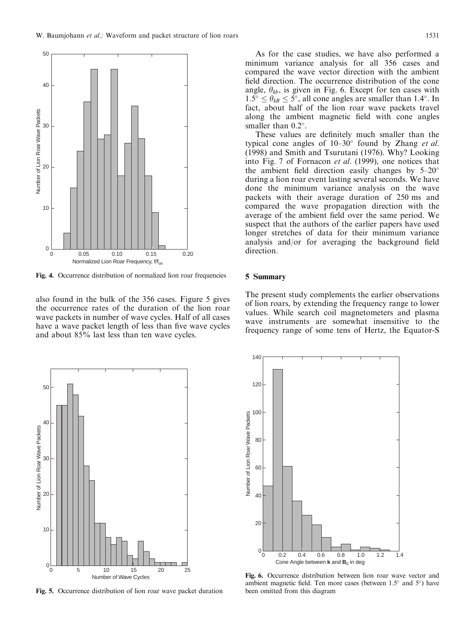

Fig. 4. Occurrence distribution of normalized lion roar frequencies

also found in the bulk of the 356 cases. Figure 5 gives the occurrence rates of the duration of the lion roar wave packets in number of wave cycles. Half of all cases have a wave packet length of less than five wave cycles and about 85% last less than ten wave cycles.

As for the case studies, we have also performed a minimum variance analysis for all 356 cases and compared the wave vector direction with the ambient field direction. The occurrence distribution of the cone angle,  $\theta_{kb}$ , is given in Fig. 6. Except for ten cases with  $1.5^{\circ} \le \theta_{kB} \le 5^{\circ}$ , all cone angles are smaller than 1.4°. In fact, about half of the lion roar wave packets travel along the ambient magnetic field with cone angles smaller than  $0.2^\circ$ .

These values are definitely much smaller than the typical cone angles of  $10-30^\circ$  found by Zhang *et al.* (1998) and Smith and Tsurutani (1976). Why? Looking into Fig. 7 of Fornacon et al. (1999), one notices that the ambient field direction easily changes by  $5-20^{\circ}$ during a lion roar event lasting several seconds. We have done the minimum variance analysis on the wave packets with their average duration of 250 ms and compared the wave propagation direction with the average of the ambient field over the same period. We suspect that the authors of the earlier papers have used longer stretches of data for their minimum variance analysis and/or for averaging the background field direction.

#### 5 Summary

The present study complements the earlier observations of lion roars, by extending the frequency range to lower values. While search coil magnetometers and plasma wave instruments are somewhat insensitive to the frequency range of some tens of Hertz, the Equator-S



Fig. 5. Occurrence distribution of lion roar wave packet duration



Fig. 6. Occurrence distribution between lion roar wave vector and ambient magnetic field. Ten more cases (between  $1.5^{\circ}$  and  $5^{\circ}$ ) have been omitted from this diagram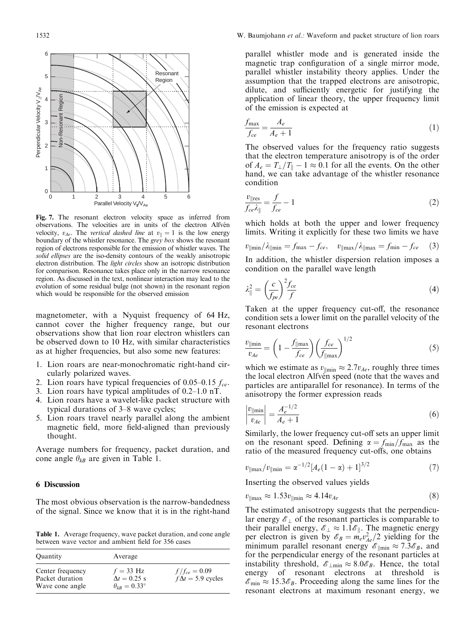

Fig. 7. The resonant electron velocity space as inferred from observations. The velocities are in units of the electron Alfvén velocity,  $v_{Ae}$ . The vertical dashed line at  $v_{\parallel} = 1$  is the low energy boundary of the whistler resonance. The grey box shows the resonant region of electrons responsible for the emission of whistler waves. The solid ellipses are the iso-density contours of the weakly anisotropic electron distribution. The light circles show an isotropic distribution for comparison. Resonance takes place only in the narrow resonance region. As discussed in the text, nonlinear interaction may lead to the evolution of some residual bulge (not shown) in the resonant region which would be responsible for the observed emission

magnetometer, with a Nyquist frequency of 64 Hz, cannot cover the higher frequency range, but our observations show that lion roar electron whistlers can be observed down to 10 Hz, with similar characteristics as at higher frequencies, but also some new features:

- 1. Lion roars are near-monochromatic right-hand circularly polarized waves.
- 2. Lion roars have typical frequencies of 0.05–0.15  $f_{ce}$ .
- 3. Lion roars have typical amplitudes of  $0.2-1.0$  nT.
- 4. Lion roars have a wavelet-like packet structure with typical durations of 3–8 wave cycles;
- 5. Lion roars travel nearly parallel along the ambient magnetic field, more field-aligned than previously thought.

Average numbers for frequency, packet duration, and cone angle  $\theta_{kB}$  are given in Table 1.

## 6 Discussion

The most obvious observation is the narrow-bandedness of the signal. Since we know that it is in the right-hand

Table 1. Average frequency, wave packet duration, and cone angle between wave vector and ambient field for 356 cases

| Quantity                                               | Average                                                            |                                                |
|--------------------------------------------------------|--------------------------------------------------------------------|------------------------------------------------|
| Center frequency<br>Packet duration<br>Wave cone angle | $f = 33$ Hz<br>$\Delta t = 0.25$ s<br>$\theta_{kR} = 0.33^{\circ}$ | $f/f_{ce} = 0.09$<br>$f \Delta t = 5.9$ cycles |

parallel whistler mode and is generated inside the magnetic trap configuration of a single mirror mode, parallel whistler instability theory applies. Under the assumption that the trapped electrons are anisotropic, dilute, and sufficiently energetic for justifying the application of linear theory, the upper frequency limit of the emission is expected at

$$
\frac{f_{\text{max}}}{f_{ce}} = \frac{A_e}{A_e + 1} \tag{1}
$$

The observed values for the frequency ratio suggests that the electron temperature anisotropy is of the order of  $A_e = T_{\perp}/T_{\parallel} - 1 \approx 0.1$  for all the events. On the other hand, we can take advantage of the whistler resonance condition

$$
\frac{v_{\parallel \text{res}}}{f_{ce} \lambda_{\parallel}} = \frac{f}{f_{ce}} - 1\tag{2}
$$

which holds at both the upper and lower frequency limits. Writing it explicitly for these two limits we have

$$
v_{\parallel \text{min}}/\lambda_{\parallel \text{min}} = f_{\text{max}} - f_{ce}, \quad v_{\parallel \text{max}}/\lambda_{\parallel \text{max}} = f_{\text{min}} - f_{ce}
$$
 (3)  
In addition, the whistler dispersion relation imposes a  
condition on the parallel wave length

$$
\lambda_{\parallel}^2 = \left(\frac{c}{f_{pe}}\right)^2 \frac{f_{ce}}{f} \tag{4}
$$

Taken at the upper frequency cut-off, the resonance condition sets a lower limit on the parallel velocity of the resonant electrons

$$
\frac{v_{\parallel \text{min}}}{v_{Ae}} = \left(1 - \frac{f_{\parallel \text{max}}}{f_{ce}}\right) \left(\frac{f_{ce}}{f_{\parallel \text{max}}}\right)^{1/2} \tag{5}
$$

which we estimate as  $v_{\parallel \text{min}} \approx 2.7v_{\text{Me}}$ , roughly three times the local electron Alfven speed (note that the waves and particles are antiparallel for resonance). In terms of the anisotropy the former expression reads

$$
\left|\frac{v_{\parallel \min}}{v_{Ae}}\right| = \frac{A_e^{-1/2}}{A_e + 1} \tag{6}
$$

Similarly, the lower frequency cut-off sets an upper limit on the resonant speed. Defining  $\alpha = f_{\text{min}}/f_{\text{max}}$  as the ratio of the measured frequency cut-offs, one obtains

$$
v_{\parallel \text{max}}/v_{\parallel \text{min}} = \alpha^{-1/2} [A_e (1 - \alpha) + 1]^{3/2}
$$
 (7)

Inserting the observed values yields

$$
v_{\parallel max} \approx 1.53 v_{\parallel min} \approx 4.14 v_{Ae} \tag{8}
$$

The estimated anisotropy suggests that the perpendicular energy  $\mathscr{E}_\perp$  of the resonant particles is comparable to their parallel energy,  $\mathscr{E}_\perp \approx 1.1\mathscr{E}_\parallel$ . The magnetic energy per electron is given by  $\mathscr{E}_B = m_e v_{Ae}^2 / 2$  yielding for the minimum parallel resonant energy  $\mathscr{E}_{\parallel \text{min}} \approx 7.3 \mathscr{E}_{B}$ , and for the perpendicular energy of the resonant particles at instability threshold,  $\mathscr{E}_{\perp m i n} \approx 8.0 \mathscr{E}_{B}$ . Hence, the total energy of resonant electrons at threshold is  $\mathscr{E}_{\min} \approx 15.3 \mathscr{E}_{B}$ . Proceeding along the same lines for the resonant electrons at maximum resonant energy, we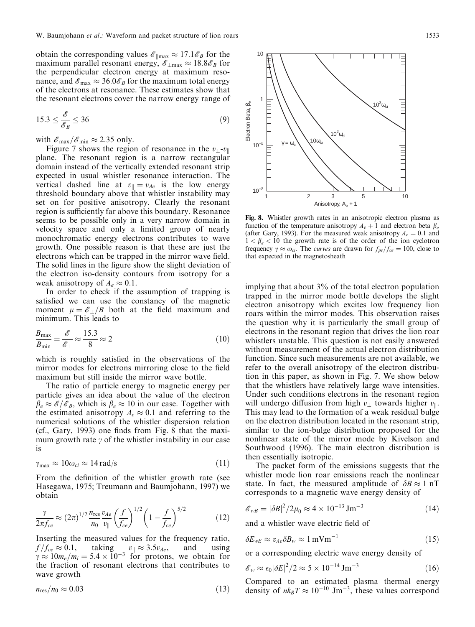obtain the corresponding values  $\mathscr{E}_{\parallel max} \approx 17.1\mathscr{E}_{B}$  for the maximum parallel resonant energy,  $\mathscr{E}_{\text{max}} \approx 18.8 \mathscr{E}_{B}$  for the perpendicular electron energy at maximum resonance, and  $\mathscr{E}_{\text{max}} \approx 36.0 \mathscr{E}_{B}$  for the maximum total energy of the electrons at resonance. These estimates show that the resonant electrons cover the narrow energy range of

$$
15.3 \le \frac{\mathcal{E}}{\mathcal{E}_B} \le 36 \tag{9}
$$

with  $\mathscr{E}_{\text{max}}/\mathscr{E}_{\text{min}} \approx 2.35$  only.

Figure 7 shows the region of resonance in the  $v_1-v_k$ plane. The resonant region is a narrow rectangular domain instead of the vertically extended resonant strip expected in usual whistler resonance interaction. The vertical dashed line at  $v_{\parallel} = v_{Ae}$  is the low energy threshold boundary above that whistler instability may set on for positive anisotropy. Clearly the resonant region is sufficiently far above this boundary. Resonance seems to be possible only in a very narrow domain in velocity space and only a limited group of nearly monochromatic energy electrons contributes to wave growth. One possible reason is that these are just the electrons which can be trapped in the mirror wave field. The solid lines in the figure show the slight deviation of the electron iso-density contours from isotropy for a weak anisotropy of  $A_e \approx 0.1$ .

In order to check if the assumption of trapping is satisfied we can use the constancy of the magnetic moment  $\mu = \mathscr{E}_{\perp}/B$  both at the field maximum and minimum. This leads to

$$
\frac{B_{\text{max}}}{B_{\text{min}}} = \frac{\mathcal{E}}{\mathcal{E}_{\perp}} \approx \frac{15.3}{8} \approx 2\tag{10}
$$

which is roughly satisfied in the observations of the mirror modes for electrons mirroring close to the field maximum but still inside the mirror wave bottle.

The ratio of particle energy to magnetic energy per particle gives an idea about the value of the electron  $\beta_e \approx \mathcal{E}/\mathcal{E}_B$ , which is  $\beta_e \approx 10$  in our case. Together with the estimated anisotropy  $A_e \approx 0.1$  and referring to the numerical solutions of the whistler dispersion relation  $(cf., Gary, 1993)$  one finds from Fig. 8 that the maximum growth rate  $\gamma$  of the whistler instability in our case is

$$
\gamma_{\text{max}} \approx 10\omega_{ci} \approx 14 \,\text{rad/s} \tag{11}
$$

From the definition of the whistler growth rate (see Hasegawa, 1975; Treumann and Baumjohann, 1997) we obtain

$$
\frac{\gamma}{2\pi f_{ce}} \approx (2\pi)^{1/2} \frac{n_{\rm res}}{n_0} \frac{v_{Ae}}{v_{\parallel}} \left(\frac{f}{f_{ce}}\right)^{1/2} \left(1 - \frac{f}{f_{ce}}\right)^{5/2} \tag{12}
$$

Inserting the measured values for the frequency ratio,  $f/f_{ce} \approx 0.1$ , taking  $v_{\parallel} \approx 3.5v_{Ae}$ , and using  $\gamma \approx 10m_e/m_i = 5.4 \times 10^{-3}$  for protons, we obtain for the fraction of resonant electrons that contributes to wave growth

$$
n_{\rm res}/n_0 \approx 0.03\tag{13}
$$



Fig. 8. Whistler growth rates in an anisotropic electron plasma as function of the temperature anisotropy  $A_e + 1$  and electron beta  $\beta_e$ (after Gary, 1993). For the measured weak anisotropy  $A_e = 0.1$  and  $1 < \beta_e < 10$  the growth rate is of the order of the ion cyclotron frequency  $\gamma \approx \omega_{ci}$ . The *curves* are drawn for  $f_{pe}/f_{ce} = 100$ , close to that expected in the magnetosheath

implying that about 3% of the total electron population trapped in the mirror mode bottle develops the slight electron anisotropy which excites low frequency lion roars within the mirror modes. This observation raises the question why it is particularly the small group of electrons in the resonant region that drives the lion roar whistlers unstable. This question is not easily answered without measurement of the actual electron distribution function. Since such measurements are not available, we refer to the overall anisotropy of the electron distribution in this paper, as shown in Fig. 7. We show below that the whistlers have relatively large wave intensities. Under such conditions electrons in the resonant region will undergo diffusion from high  $v_{\perp}$  towards higher  $v_{\parallel}$ . This may lead to the formation of a weak residual bulge on the electron distribution located in the resonant strip, similar to the ion-bulge distribution proposed for the nonlinear state of the mirror mode by Kivelson and Southwood (1996). The main electron distribution is then essentially isotropic.

The packet form of the emissions suggests that the whistler mode lion roar emissions reach the nonlinear state. In fact, the measured amplitude of  $\delta B \approx 1 \text{ nT}$ corresponds to a magnetic wave energy density of

$$
\mathcal{E}_{wB} = |\delta B|^2 / 2\mu_0 \approx 4 \times 10^{-13} \,\text{Jm}^{-3} \tag{14}
$$

and a whistler wave electric field of

$$
\delta E_{wE} \approx v_{Ae} \delta B_w \approx 1 \,\text{mVm}^{-1} \tag{15}
$$

or a corresponding electric wave energy density of

$$
\mathscr{E}_w \approx \epsilon_0 |\delta E|^2 / 2 \approx 5 \times 10^{-14} \,\text{Jm}^{-3} \tag{16}
$$

Compared to an estimated plasma thermal energy density of  $nk_BT \approx 10^{-10}$  Jm<sup>-3</sup>, these values correspond